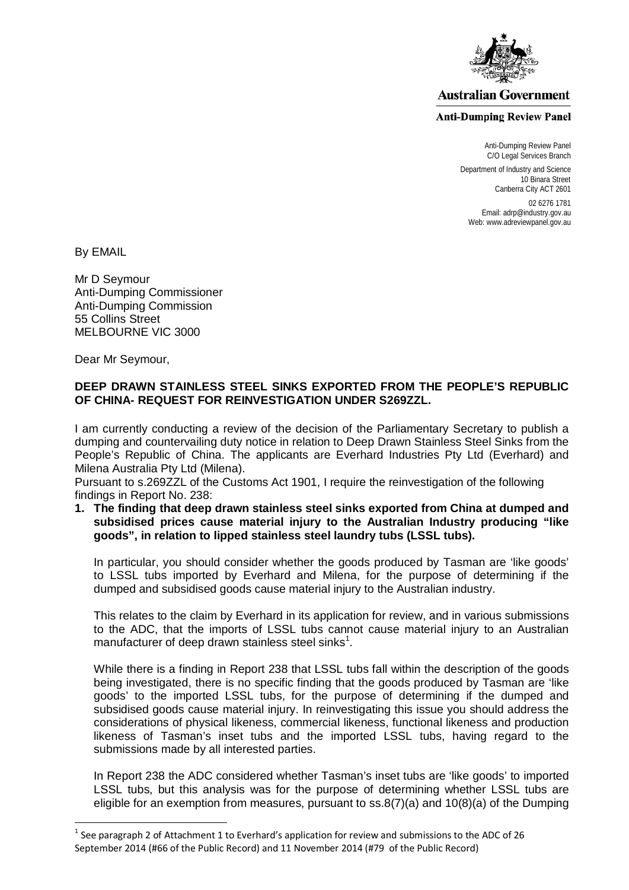

## **Australian Government**

## **Anti-Dumping Review Panel**

Anti-Dumping Review Panel C/O Legal Services Branch

Department of Industry and Science 10 Binara Street Canberra City ACT 2601

02 6276 1781 Email: adrp@industry.gov.au Web: www.adreviewpanel.gov.au

By EMAIL

 $\overline{a}$ 

Mr D Seymour Anti-Dumping Commissioner Anti-Dumping Commission 55 Collins Street MELBOURNE VIC 3000

Dear Mr Seymour,

## **DEEP DRAWN STAINLESS STEEL SINKS EXPORTED FROM THE PEOPLE'S REPUBLIC OF CHINA- REQUEST FOR REINVESTIGATION UNDER S269ZZL.**

I am currently conducting a review of the decision of the Parliamentary Secretary to publish a dumping and countervailing duty notice in relation to Deep Drawn Stainless Steel Sinks from the People's Republic of China. The applicants are Everhard Industries Pty Ltd (Everhard) and Milena Australia Pty Ltd (Milena).

Pursuant to s.269ZZL of the Customs Act 1901, I require the reinvestigation of the following findings in Report No. 238:

**1. The finding that deep drawn stainless steel sinks exported from China at dumped and subsidised prices cause material injury to the Australian Industry producing "like goods", in relation to lipped stainless steel laundry tubs (LSSL tubs).** 

In particular, you should consider whether the goods produced by Tasman are 'like goods' to LSSL tubs imported by Everhard and Milena, for the purpose of determining if the dumped and subsidised goods cause material injury to the Australian industry.

This relates to the claim by Everhard in its application for review, and in various submissions to the ADC, that the imports of LSSL tubs cannot cause material injury to an Australian manufacturer of deep drawn stainless steel sinks<sup>[1](#page-0-0)</sup>.

While there is a finding in Report 238 that LSSL tubs fall within the description of the goods being investigated, there is no specific finding that the goods produced by Tasman are 'like goods' to the imported LSSL tubs, for the purpose of determining if the dumped and subsidised goods cause material injury. In reinvestigating this issue you should address the considerations of physical likeness, commercial likeness, functional likeness and production likeness of Tasman's inset tubs and the imported LSSL tubs, having regard to the submissions made by all interested parties.

In Report 238 the ADC considered whether Tasman's inset tubs are 'like goods' to imported LSSL tubs, but this analysis was for the purpose of determining whether LSSL tubs are eligible for an exemption from measures, pursuant to ss.8(7)(a) and 10(8)(a) of the Dumping

<span id="page-0-0"></span> $1$  See paragraph 2 of Attachment 1 to Everhard's application for review and submissions to the ADC of 26 September 2014 (#66 of the Public Record) and 11 November 2014 (#79 of the Public Record)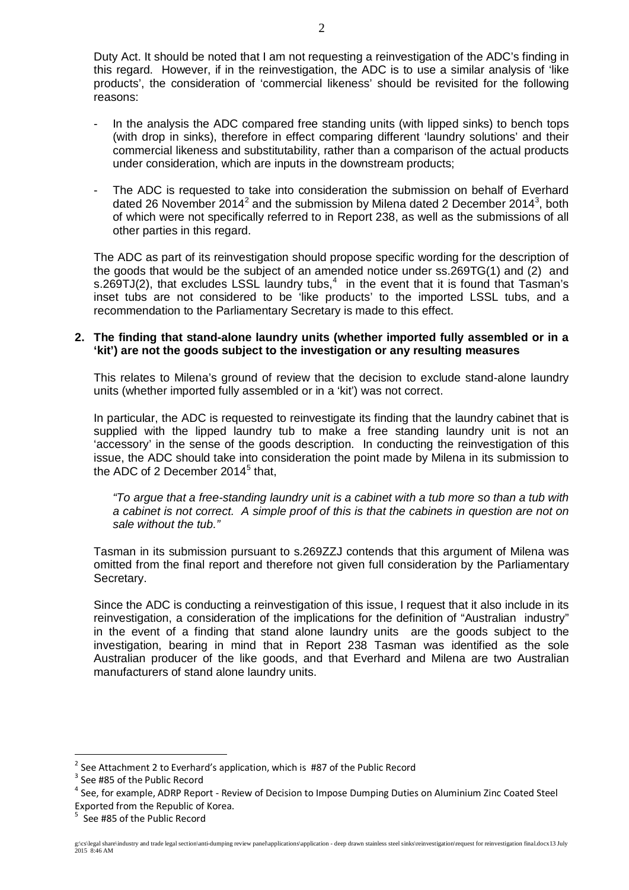Duty Act. It should be noted that I am not requesting a reinvestigation of the ADC's finding in this regard. However, if in the reinvestigation, the ADC is to use a similar analysis of 'like products', the consideration of 'commercial likeness' should be revisited for the following reasons:

- In the analysis the ADC compared free standing units (with lipped sinks) to bench tops (with drop in sinks), therefore in effect comparing different 'laundry solutions' and their commercial likeness and substitutability, rather than a comparison of the actual products under consideration, which are inputs in the downstream products;
- The ADC is requested to take into consideration the submission on behalf of Everhard dated [2](#page-1-0)6 November 2014<sup>2</sup> and the submission by Milena dated 2 December 2014<sup>[3](#page-1-1)</sup>, both of which were not specifically referred to in Report 238, as well as the submissions of all other parties in this regard.

The ADC as part of its reinvestigation should propose specific wording for the description of the goods that would be the subject of an amended notice under ss.269TG(1) and (2) and s.269TJ(2), that excludes LSSL laundry tubs, $4\,$  $4\,$  in the event that it is found that Tasman's inset tubs are not considered to be 'like products' to the imported LSSL tubs, and a recommendation to the Parliamentary Secretary is made to this effect.

## **2. The finding that stand-alone laundry units (whether imported fully assembled or in a 'kit') are not the goods subject to the investigation or any resulting measures**

This relates to Milena's ground of review that the decision to exclude stand-alone laundry units (whether imported fully assembled or in a 'kit') was not correct.

In particular, the ADC is requested to reinvestigate its finding that the laundry cabinet that is supplied with the lipped laundry tub to make a free standing laundry unit is not an 'accessory' in the sense of the goods description. In conducting the reinvestigation of this issue, the ADC should take into consideration the point made by Milena in its submission to the ADC of 2 December  $2014<sup>5</sup>$  $2014<sup>5</sup>$  $2014<sup>5</sup>$  that.

*"To argue that a free-standing laundry unit is a cabinet with a tub more so than a tub with a cabinet is not correct. A simple proof of this is that the cabinets in question are not on sale without the tub."*

Tasman in its submission pursuant to s.269ZZJ contends that this argument of Milena was omitted from the final report and therefore not given full consideration by the Parliamentary Secretary.

Since the ADC is conducting a reinvestigation of this issue, I request that it also include in its reinvestigation, a consideration of the implications for the definition of "Australian industry" in the event of a finding that stand alone laundry units are the goods subject to the investigation, bearing in mind that in Report 238 Tasman was identified as the sole Australian producer of the like goods, and that Everhard and Milena are two Australian manufacturers of stand alone laundry units.

 $\overline{a}$ 

<sup>&</sup>lt;sup>2</sup> See Attachment 2 to Everhard's application, which is  $#87$  of the Public Record  $^3$  See  $#85$  of the Public Record

<span id="page-1-1"></span><span id="page-1-0"></span>

<span id="page-1-2"></span><sup>&</sup>lt;sup>4</sup> See, for example, ADRP Report - Review of Decision to Impose Dumping Duties on Aluminium Zinc Coated Steel Exported from the Republic of Korea.

<span id="page-1-3"></span><sup>&</sup>lt;sup>5</sup> See #85 of the Public Record